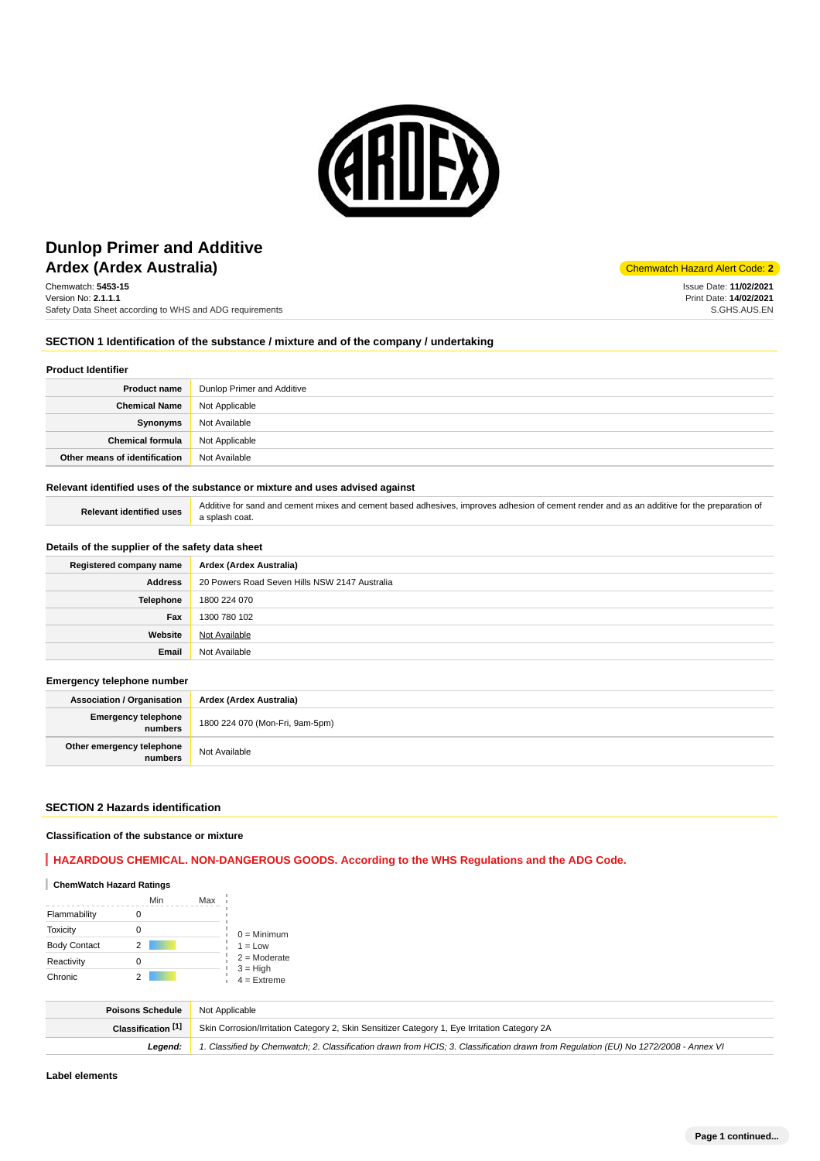

# **Ardex (Ardex Australia)** Ardex Australia and Alert Code: 2 **Dunlop Primer and Additive**

Chemwatch: **5453-15** Version No: **2.1.1.1** Safety Data Sheet according to WHS and ADG requirements

Issue Date: **11/02/2021** Print Date: **14/02/2021** S.GHS.AUS.EN

## **SECTION 1 Identification of the substance / mixture and of the company / undertaking**

#### **Product Identifier**

| <b>Product name</b>           | Dunlop Primer and Additive |
|-------------------------------|----------------------------|
| <b>Chemical Name</b>          | Not Applicable             |
| Synonyms                      | Not Available              |
| <b>Chemical formula</b>       | Not Applicable             |
| Other means of identification | Not Available              |

#### **Relevant identified uses of the substance or mixture and uses advised against**

Relevant identified uses **Additive for sand and cement mixes and cement based adhesives, improves adhesion of cement render and as an additive for the preparation of** a splash coat.

#### **Details of the supplier of the safety data sheet**

| Registered company name | Ardex (Ardex Australia)                       |
|-------------------------|-----------------------------------------------|
| <b>Address</b>          | 20 Powers Road Seven Hills NSW 2147 Australia |
| <b>Telephone</b>        | 1800 224 070                                  |
| Fax                     | 1300 780 102                                  |
| Website                 | Not Available                                 |
| Email                   | Not Available                                 |

#### **Emergency telephone number**

| <b>Association / Organisation</b>     | Ardex (Ardex Australia)         |
|---------------------------------------|---------------------------------|
| <b>Emergency telephone</b><br>numbers | 1800 224 070 (Mon-Fri, 9am-5pm) |
| Other emergency telephone<br>numbers  | Not Available                   |

## **SECTION 2 Hazards identification**

#### **Classification of the substance or mixture**

## **HAZARDOUS CHEMICAL. NON-DANGEROUS GOODS. According to the WHS Regulations and the ADG Code.**

| <b>ChemWatch Hazard Ratings</b> |     |     |                             |
|---------------------------------|-----|-----|-----------------------------|
|                                 | Min | Max |                             |
| Flammability                    |     |     |                             |
| <b>Toxicity</b>                 | Ω   |     | $0 =$ Minimum               |
| <b>Body Contact</b>             | 2   |     | $1 = Low$                   |
| Reactivity                      |     |     | $2 =$ Moderate              |
| Chronic                         |     |     | $3 = High$<br>$4 =$ Extreme |

| <b>Poisons Schedule</b> | Not Applicable                                                                                                                      |
|-------------------------|-------------------------------------------------------------------------------------------------------------------------------------|
| Classification [1]      | Skin Corrosion/Irritation Category 2, Skin Sensitizer Category 1, Eye Irritation Category 2A                                        |
| Leaend:                 | 1. Classified by Chemwatch; 2. Classification drawn from HCIS; 3. Classification drawn from Requlation (EU) No 1272/2008 - Annex VI |

**Label elements**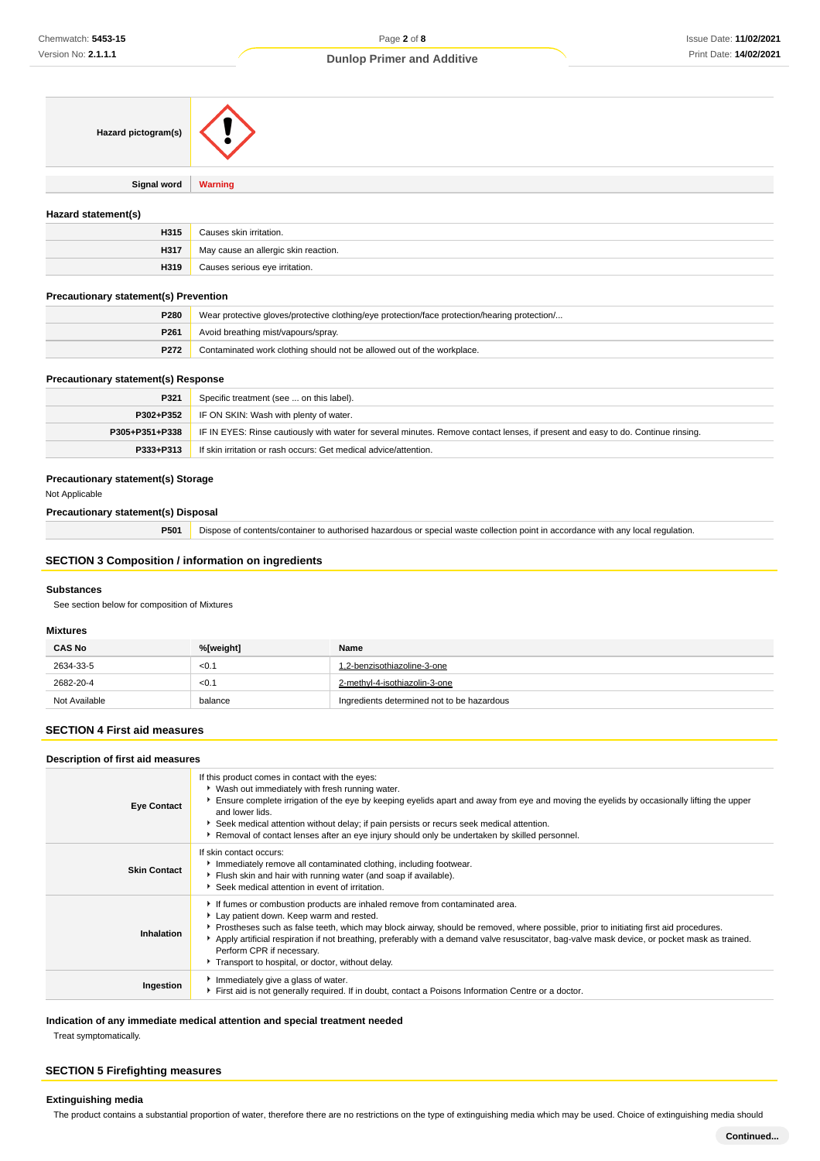| Hazard pictogram(s) |                |
|---------------------|----------------|
|                     |                |
| <b>Signal word</b>  | <b>Warning</b> |

#### **Hazard statement(s)**

| H315 | Causes skin irritation.              |
|------|--------------------------------------|
| H317 | May cause an allergic skin reaction. |
| H319 | Causes serious eye irritation.       |

## **Precautionary statement(s) Prevention**

| <b>P280</b> | Wear protective gloves/protective clothing/eye protection/face protection/hearing protection/ |
|-------------|-----------------------------------------------------------------------------------------------|
| P261        | Avoid breathing mist/vapours/spray.                                                           |
| P272        | Contaminated work clothing should not be allowed out of the workplace.                        |

#### **Precautionary statement(s) Response**

| P321           | Specific treatment (see  on this label).                                                                                         |
|----------------|----------------------------------------------------------------------------------------------------------------------------------|
| P302+P352      | IF ON SKIN: Wash with plenty of water.                                                                                           |
| P305+P351+P338 | IF IN EYES: Rinse cautiously with water for several minutes. Remove contact lenses, if present and easy to do. Continue rinsing. |
| P333+P313      | If skin irritation or rash occurs: Get medical advice/attention.                                                                 |

#### **Precautionary statement(s) Storage**

Not Applicable

#### **Precautionary statement(s) Disposal**

**P501** Dispose of contents/container to authorised hazardous or special waste collection point in accordance with any local regulation.

## **SECTION 3 Composition / information on ingredients**

#### **Substances**

See section below for composition of Mixtures

#### **Mixtures**

| <b>CAS No</b> | %[weight] | Name                                       |
|---------------|-----------|--------------------------------------------|
| 2634-33-5     | < 0.1     | 1.2-benzisothiazoline-3-one                |
| 2682-20-4     | < 0.1     | 2-methyl-4-isothiazolin-3-one              |
| Not Available | balance   | Ingredients determined not to be hazardous |

#### **SECTION 4 First aid measures**

#### **Description of first aid measures**

| <b>Eye Contact</b>  | If this product comes in contact with the eyes:<br>• Wash out immediately with fresh running water.<br>Ensure complete irrigation of the eye by keeping eyelids apart and away from eye and moving the eyelids by occasionally lifting the upper<br>and lower lids.<br>Seek medical attention without delay; if pain persists or recurs seek medical attention.<br>Removal of contact lenses after an eye injury should only be undertaken by skilled personnel.                                  |
|---------------------|---------------------------------------------------------------------------------------------------------------------------------------------------------------------------------------------------------------------------------------------------------------------------------------------------------------------------------------------------------------------------------------------------------------------------------------------------------------------------------------------------|
| <b>Skin Contact</b> | If skin contact occurs:<br>Immediately remove all contaminated clothing, including footwear.<br>Filush skin and hair with running water (and soap if available).<br>Seek medical attention in event of irritation.                                                                                                                                                                                                                                                                                |
| Inhalation          | If fumes or combustion products are inhaled remove from contaminated area.<br>Lay patient down. Keep warm and rested.<br>▶ Prostheses such as false teeth, which may block airway, should be removed, where possible, prior to initiating first aid procedures.<br>Apply artificial respiration if not breathing, preferably with a demand valve resuscitator, bag-valve mask device, or pocket mask as trained.<br>Perform CPR if necessary.<br>Transport to hospital, or doctor, without delay. |
| Ingestion           | Immediately give a glass of water.<br>First aid is not generally required. If in doubt, contact a Poisons Information Centre or a doctor.                                                                                                                                                                                                                                                                                                                                                         |

#### **Indication of any immediate medical attention and special treatment needed**

Treat symptomatically.

## **SECTION 5 Firefighting measures**

#### **Extinguishing media**

The product contains a substantial proportion of water, therefore there are no restrictions on the type of extinguishing media which may be used. Choice of extinguishing media should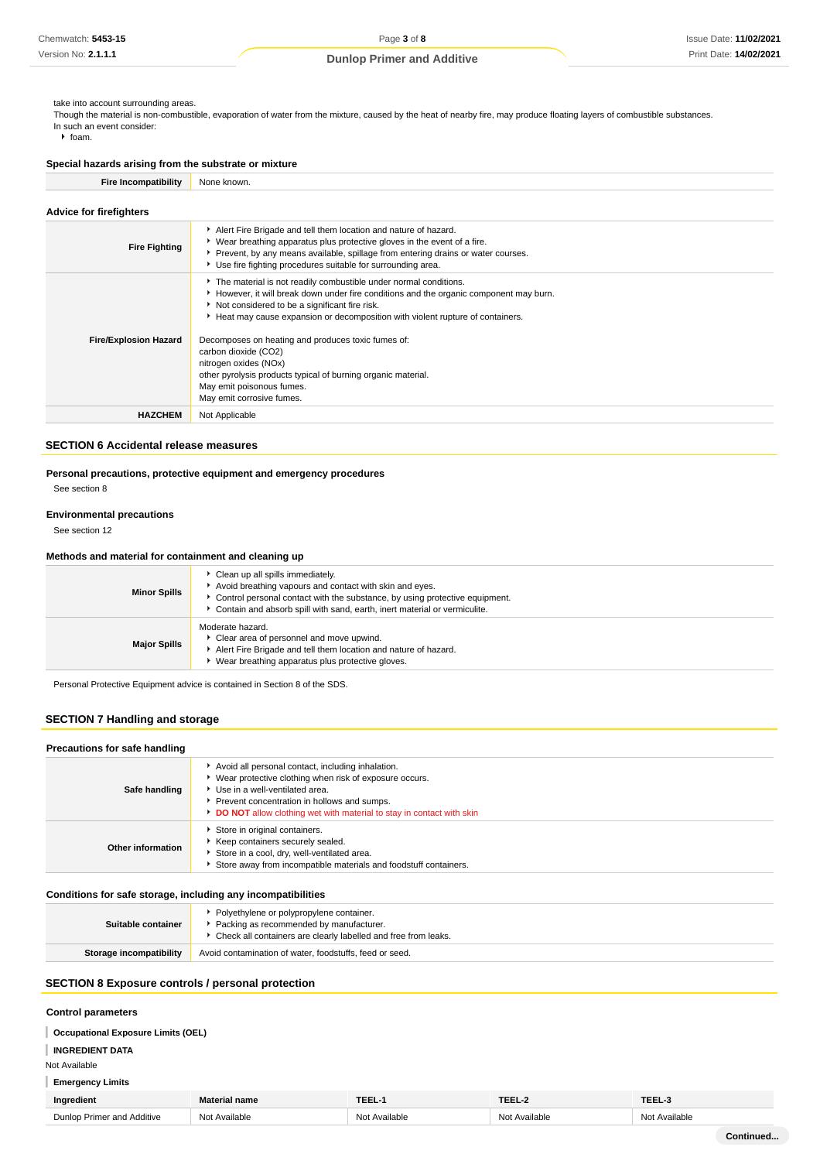#### take into account surrounding areas.

Though the material is non-combustible, evaporation of water from the mixture, caused by the heat of nearby fire, may produce floating layers of combustible substances. In such an event consider:

 $\blacktriangleright$  foam.

# **Special hazards arising from the substrate or mixture**

| <b>Fire Incompatibility</b> | None known. |
|-----------------------------|-------------|
|-----------------------------|-------------|

| <b>Advice for firefighters</b> |                                                                                                                                                                                                                                                                                                                                                                                                                                                                                                                                 |  |  |
|--------------------------------|---------------------------------------------------------------------------------------------------------------------------------------------------------------------------------------------------------------------------------------------------------------------------------------------------------------------------------------------------------------------------------------------------------------------------------------------------------------------------------------------------------------------------------|--|--|
| <b>Fire Fighting</b>           | Alert Fire Brigade and tell them location and nature of hazard.<br>▶ Wear breathing apparatus plus protective gloves in the event of a fire.<br>Prevent, by any means available, spillage from entering drains or water courses.<br>Use fire fighting procedures suitable for surrounding area.                                                                                                                                                                                                                                 |  |  |
| <b>Fire/Explosion Hazard</b>   | The material is not readily combustible under normal conditions.<br>► However, it will break down under fire conditions and the organic component may burn.<br>Not considered to be a significant fire risk.<br>Heat may cause expansion or decomposition with violent rupture of containers.<br>Decomposes on heating and produces toxic fumes of:<br>carbon dioxide (CO2)<br>nitrogen oxides (NOx)<br>other pyrolysis products typical of burning organic material.<br>May emit poisonous fumes.<br>May emit corrosive fumes. |  |  |
| <b>HAZCHEM</b>                 | Not Applicable                                                                                                                                                                                                                                                                                                                                                                                                                                                                                                                  |  |  |

#### **SECTION 6 Accidental release measures**

# **Personal precautions, protective equipment and emergency procedures**

See section 8

# **Environmental precautions**

See section 12

#### **Methods and material for containment and cleaning up**

| <b>Minor Spills</b> | • Clean up all spills immediately.<br>Avoid breathing vapours and contact with skin and eyes.<br>Control personal contact with the substance, by using protective equipment.<br>Contain and absorb spill with sand, earth, inert material or vermiculite. |  |
|---------------------|-----------------------------------------------------------------------------------------------------------------------------------------------------------------------------------------------------------------------------------------------------------|--|
| <b>Major Spills</b> | Moderate hazard.<br>• Clear area of personnel and move upwind.<br>Alert Fire Brigade and tell them location and nature of hazard.<br>▶ Wear breathing apparatus plus protective gloves.                                                                   |  |

Personal Protective Equipment advice is contained in Section 8 of the SDS.

## **SECTION 7 Handling and storage**

| Precautions for safe handling |                                                                                                                                                                                                                                                                        |  |  |
|-------------------------------|------------------------------------------------------------------------------------------------------------------------------------------------------------------------------------------------------------------------------------------------------------------------|--|--|
| Safe handling                 | Avoid all personal contact, including inhalation.<br>▶ Wear protective clothing when risk of exposure occurs.<br>Use in a well-ventilated area.<br>Prevent concentration in hollows and sumps.<br>DO NOT allow clothing wet with material to stay in contact with skin |  |  |
| Other information             | Store in original containers.<br>Keep containers securely sealed.<br>Store in a cool, dry, well-ventilated area.<br>Store away from incompatible materials and foodstuff containers.                                                                                   |  |  |

#### **Conditions for safe storage, including any incompatibilities**

| Suitable container      | • Polyethylene or polypropylene container.<br>Packing as recommended by manufacturer.<br>▶ Check all containers are clearly labelled and free from leaks. |
|-------------------------|-----------------------------------------------------------------------------------------------------------------------------------------------------------|
| Storage incompatibility | Avoid contamination of water, foodstuffs, feed or seed.                                                                                                   |

## **SECTION 8 Exposure controls / personal protection**

## **Control parameters**

**Occupational Exposure Limits (OEL)**

# **INGREDIENT DATA**

Not Available

# **Emergency Limits**

| Ingredient                 | <b>Material name</b> | TEEL      | $ -$          | TEEL             |
|----------------------------|----------------------|-----------|---------------|------------------|
| Dunlop Primer and Additive | ۱۵+<br>≅ailable      | Available | Not Available | Not<br>Available |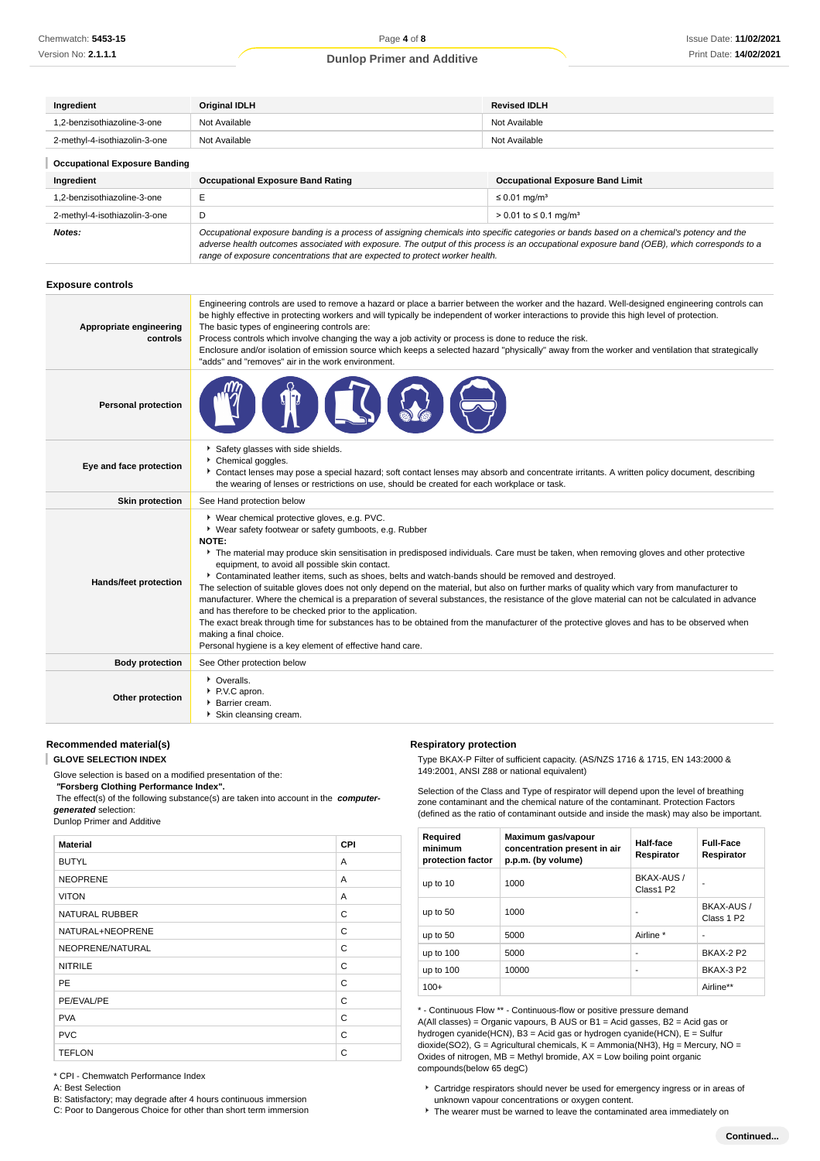| Ingredient                           | <b>Original IDLH</b>                     | <b>Revised IDLH</b>                     |  |
|--------------------------------------|------------------------------------------|-----------------------------------------|--|
| 1.2-benzisothiazoline-3-one          | Not Available                            | Not Available                           |  |
| 2-methyl-4-isothiazolin-3-one        | Not Available                            | Not Available                           |  |
| <b>Occupational Exposure Banding</b> |                                          |                                         |  |
| Ingredient                           | <b>Occupational Exposure Band Rating</b> | <b>Occupational Exposure Band Limit</b> |  |
| 1.2-benzisothiazoline-3-one          | E                                        | $\leq$ 0.01 mg/m <sup>3</sup>           |  |
| 2-methyl-4-isothiazolin-3-one        | D                                        | > 0.01 to ≤ 0.1 mg/m <sup>3</sup>       |  |

**Notes: Occupational exposure banding is a process of assigning chemicals into specific categories or bands based on a chemical's potency and the <b>Notes**: adverse health outcomes associated with exposure. The output of this process is an occupational exposure band (OEB), which corresponds to a range of exposure concentrations that are expected to protect worker health.

#### **Exposure controls**

| Appropriate engineering<br>controls | Engineering controls are used to remove a hazard or place a barrier between the worker and the hazard. Well-designed engineering controls can<br>be highly effective in protecting workers and will typically be independent of worker interactions to provide this high level of protection.<br>The basic types of engineering controls are:<br>Process controls which involve changing the way a job activity or process is done to reduce the risk.<br>Enclosure and/or isolation of emission source which keeps a selected hazard "physically" away from the worker and ventilation that strategically<br>"adds" and "removes" air in the work environment.                                                                                                                                                                                                                                                                                                                                                          |
|-------------------------------------|--------------------------------------------------------------------------------------------------------------------------------------------------------------------------------------------------------------------------------------------------------------------------------------------------------------------------------------------------------------------------------------------------------------------------------------------------------------------------------------------------------------------------------------------------------------------------------------------------------------------------------------------------------------------------------------------------------------------------------------------------------------------------------------------------------------------------------------------------------------------------------------------------------------------------------------------------------------------------------------------------------------------------|
| <b>Personal protection</b>          |                                                                                                                                                                                                                                                                                                                                                                                                                                                                                                                                                                                                                                                                                                                                                                                                                                                                                                                                                                                                                          |
| Eye and face protection             | Safety glasses with side shields.<br>Chemical goggles.<br>Contact lenses may pose a special hazard; soft contact lenses may absorb and concentrate irritants. A written policy document, describing<br>the wearing of lenses or restrictions on use, should be created for each workplace or task.                                                                                                                                                                                                                                                                                                                                                                                                                                                                                                                                                                                                                                                                                                                       |
| <b>Skin protection</b>              | See Hand protection below                                                                                                                                                                                                                                                                                                                                                                                                                                                                                                                                                                                                                                                                                                                                                                                                                                                                                                                                                                                                |
| Hands/feet protection               | * Wear chemical protective gloves, e.g. PVC.<br>• Wear safety footwear or safety gumboots, e.g. Rubber<br><b>NOTE:</b><br>The material may produce skin sensitisation in predisposed individuals. Care must be taken, when removing gloves and other protective<br>equipment, to avoid all possible skin contact.<br>Contaminated leather items, such as shoes, belts and watch-bands should be removed and destroyed.<br>The selection of suitable gloves does not only depend on the material, but also on further marks of quality which vary from manufacturer to<br>manufacturer. Where the chemical is a preparation of several substances, the resistance of the glove material can not be calculated in advance<br>and has therefore to be checked prior to the application.<br>The exact break through time for substances has to be obtained from the manufacturer of the protective gloves and has to be observed when<br>making a final choice.<br>Personal hygiene is a key element of effective hand care. |
| <b>Body protection</b>              | See Other protection below                                                                                                                                                                                                                                                                                                                                                                                                                                                                                                                                                                                                                                                                                                                                                                                                                                                                                                                                                                                               |
| Other protection                    | • Overalls.<br>P.V.C apron.<br>Barrier cream.<br>Skin cleansing cream.                                                                                                                                                                                                                                                                                                                                                                                                                                                                                                                                                                                                                                                                                                                                                                                                                                                                                                                                                   |

**Respiratory protection**

## **Recommended material(s)**

I **GLOVE SELECTION INDEX**

Glove selection is based on a modified presentation of the:

 **"Forsberg Clothing Performance Index".**

The effect(s) of the following substance(s) are taken into account in the **computer-**

**generated** selection: Dunlop Primer and Additive

| <b>Material</b>       | CPI |
|-----------------------|-----|
| <b>BUTYL</b>          | A   |
| <b>NEOPRENE</b>       | A   |
| <b>VITON</b>          | A   |
| <b>NATURAL RUBBER</b> | C   |
| NATURAL+NEOPRENE      | C   |
| NEOPRENE/NATURAL      | C   |
| <b>NITRILE</b>        | C   |
| <b>PE</b>             | C   |
| PE/EVAL/PE            | C   |
| <b>PVA</b>            | C   |
| <b>PVC</b>            | C   |
| <b>TEFLON</b>         | C   |

149:2001, ANSI Z88 or national equivalent) Selection of the Class and Type of respirator will depend upon the level of breathing zone contaminant and the chemical nature of the contaminant. Protection Factors (defined as the ratio of contaminant outside and inside the mask) may also be important.

Type BKAX-P Filter of sufficient capacity. (AS/NZS 1716 & 1715, EN 143:2000 &

| Required<br>minimum<br>protection factor | Maximum gas/vapour<br>concentration present in air<br>p.p.m. (by volume) | Half-face<br>Respirator | <b>Full-Face</b><br>Respirator       |
|------------------------------------------|--------------------------------------------------------------------------|-------------------------|--------------------------------------|
| up to 10                                 | 1000                                                                     | BKAX-AUS /<br>Class1 P2 |                                      |
| up to 50                                 | 1000                                                                     |                         | BKAX-AUS /<br>Class 1 P <sub>2</sub> |
| up to 50                                 | 5000                                                                     | Airline *               | ۰                                    |
| up to $100$                              | 5000                                                                     | ۰                       | <b>BKAX-2 P2</b>                     |
| up to 100                                | 10000                                                                    |                         | <b>BKAX-3 P2</b>                     |

\* - Continuous Flow \*\* - Continuous-flow or positive pressure demand A(All classes) = Organic vapours, B AUS or B1 = Acid gasses, B2 = Acid gas or hydrogen cyanide(HCN), B3 = Acid gas or hydrogen cyanide(HCN), E = Sulfur dioxide(SO2), G = Agricultural chemicals, K = Ammonia(NH3), Hg = Mercury, NO = Oxides of nitrogen,  $MB =$  Methyl bromide,  $AX =$  Low boiling point organic compounds(below 65 degC)

100+ **Airline\*\*** 

\* CPI - Chemwatch Performance Index

A: Best Selection

B: Satisfactory; may degrade after 4 hours continuous immersion

C: Poor to Dangerous Choice for other than short term immersion

Cartridge respirators should never be used for emergency ingress or in areas of unknown vapour concentrations or oxygen content.

The wearer must be warned to leave the contaminated area immediately on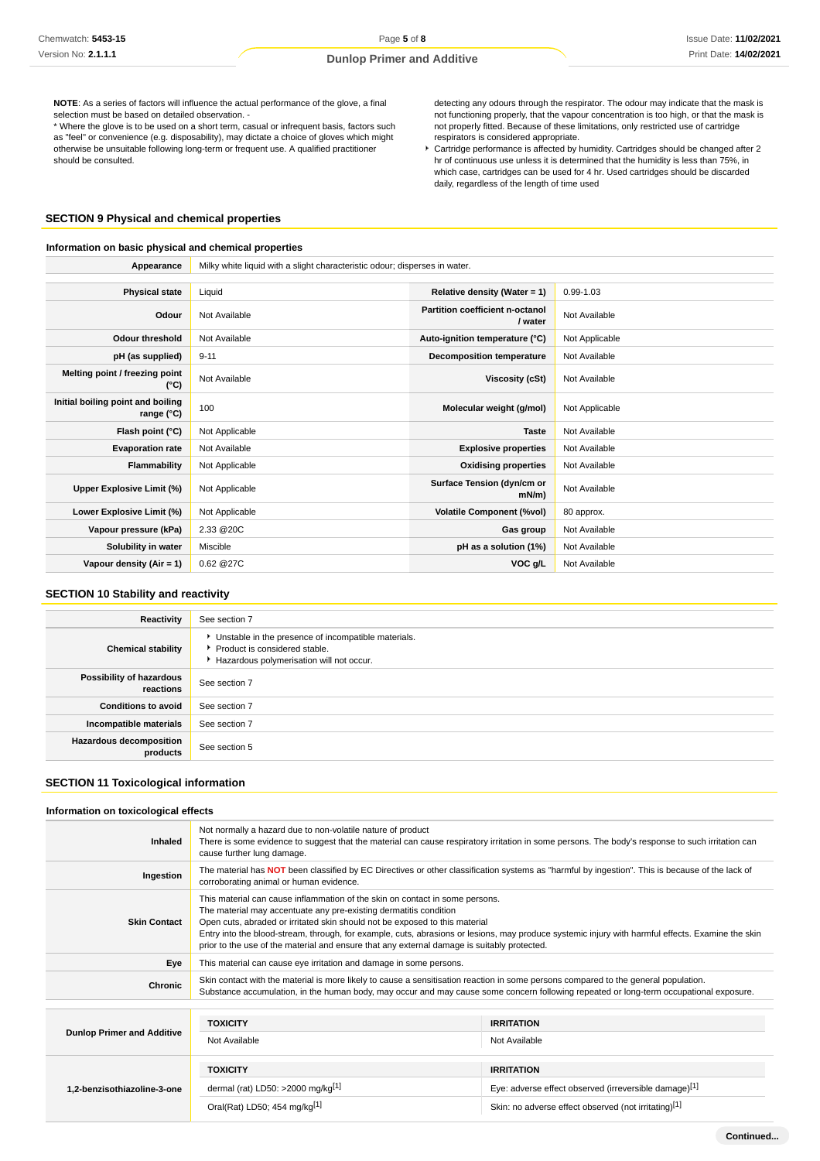**NOTE**: As a series of factors will influence the actual performance of the glove, a final selection must be based on detailed observation.

\* Where the glove is to be used on a short term, casual or infrequent basis, factors such as "feel" or convenience (e.g. disposability), may dictate a choice of gloves which might otherwise be unsuitable following long-term or frequent use. A qualified practitioner should be consulted.

detecting any odours through the respirator. The odour may indicate that the mask is not functioning properly, that the vapour concentration is too high, or that the mask is not properly fitted. Because of these limitations, only restricted use of cartridge respirators is considered appropriate.

Cartridge performance is affected by humidity. Cartridges should be changed after 2 hr of continuous use unless it is determined that the humidity is less than 75%, in which case, cartridges can be used for 4 hr. Used cartridges should be discarded daily, regardless of the length of time used

# **SECTION 9 Physical and chemical properties**

## **Information on basic physical and chemical properties**

|                                                 | Appearance<br>Milky white liquid with a slight characteristic odour; disperses in water. |                                            |                |
|-------------------------------------------------|------------------------------------------------------------------------------------------|--------------------------------------------|----------------|
|                                                 |                                                                                          |                                            |                |
| <b>Physical state</b>                           | Liquid                                                                                   | Relative density (Water = $1$ )            | $0.99 - 1.03$  |
| Odour                                           | Not Available                                                                            | Partition coefficient n-octanol<br>/ water | Not Available  |
| <b>Odour threshold</b>                          | Not Available                                                                            | Auto-ignition temperature (°C)             | Not Applicable |
| pH (as supplied)                                | $9 - 11$                                                                                 | <b>Decomposition temperature</b>           | Not Available  |
| Melting point / freezing point<br>$(^{\circ}C)$ | Not Available                                                                            | Viscosity (cSt)                            | Not Available  |
| Initial boiling point and boiling<br>range (°C) | 100                                                                                      | Molecular weight (g/mol)                   | Not Applicable |
| Flash point (°C)                                | Not Applicable                                                                           | <b>Taste</b>                               | Not Available  |
| <b>Evaporation rate</b>                         | Not Available                                                                            | <b>Explosive properties</b>                | Not Available  |
| Flammability                                    | Not Applicable                                                                           | <b>Oxidising properties</b>                | Not Available  |
| Upper Explosive Limit (%)                       | Not Applicable                                                                           | Surface Tension (dyn/cm or<br>mN/m         | Not Available  |
| Lower Explosive Limit (%)                       | Not Applicable                                                                           | <b>Volatile Component (%vol)</b>           | 80 approx.     |
| Vapour pressure (kPa)                           | 2.33 @ 20C                                                                               | Gas group                                  | Not Available  |
| Solubility in water                             | Miscible                                                                                 | pH as a solution (1%)                      | Not Available  |
| Vapour density $(Air = 1)$                      | 0.62 @27C                                                                                | VOC g/L                                    | Not Available  |

## **SECTION 10 Stability and reactivity**

| Reactivity                                 | See section 7                                                                                                                        |
|--------------------------------------------|--------------------------------------------------------------------------------------------------------------------------------------|
| <b>Chemical stability</b>                  | • Unstable in the presence of incompatible materials.<br>▶ Product is considered stable.<br>Hazardous polymerisation will not occur. |
| Possibility of hazardous<br>reactions      | See section 7                                                                                                                        |
| <b>Conditions to avoid</b>                 | See section 7                                                                                                                        |
| Incompatible materials                     | See section 7                                                                                                                        |
| <b>Hazardous decomposition</b><br>products | See section 5                                                                                                                        |

## **SECTION 11 Toxicological information**

# **Information on toxicological effects**

| Inhaled                           | Not normally a hazard due to non-volatile nature of product<br>There is some evidence to suggest that the material can cause respiratory irritation in some persons. The body's response to such irritation can<br>cause further lung damage.                                                                                                                                                                                                                                        |                                                       |  |
|-----------------------------------|--------------------------------------------------------------------------------------------------------------------------------------------------------------------------------------------------------------------------------------------------------------------------------------------------------------------------------------------------------------------------------------------------------------------------------------------------------------------------------------|-------------------------------------------------------|--|
| Ingestion                         | The material has NOT been classified by EC Directives or other classification systems as "harmful by ingestion". This is because of the lack of<br>corroborating animal or human evidence.                                                                                                                                                                                                                                                                                           |                                                       |  |
| <b>Skin Contact</b>               | This material can cause inflammation of the skin on contact in some persons.<br>The material may accentuate any pre-existing dermatitis condition<br>Open cuts, abraded or irritated skin should not be exposed to this material<br>Entry into the blood-stream, through, for example, cuts, abrasions or lesions, may produce systemic injury with harmful effects. Examine the skin<br>prior to the use of the material and ensure that any external damage is suitably protected. |                                                       |  |
| Eye                               | This material can cause eye irritation and damage in some persons.                                                                                                                                                                                                                                                                                                                                                                                                                   |                                                       |  |
| Chronic                           | Skin contact with the material is more likely to cause a sensitisation reaction in some persons compared to the general population.<br>Substance accumulation, in the human body, may occur and may cause some concern following repeated or long-term occupational exposure.                                                                                                                                                                                                        |                                                       |  |
|                                   |                                                                                                                                                                                                                                                                                                                                                                                                                                                                                      |                                                       |  |
|                                   | <b>TOXICITY</b>                                                                                                                                                                                                                                                                                                                                                                                                                                                                      | <b>IRRITATION</b>                                     |  |
| <b>Dunlop Primer and Additive</b> | Not Available                                                                                                                                                                                                                                                                                                                                                                                                                                                                        | Not Available                                         |  |
|                                   | <b>TOXICITY</b>                                                                                                                                                                                                                                                                                                                                                                                                                                                                      | <b>IRRITATION</b>                                     |  |
| 1,2-benzisothiazoline-3-one       | dermal (rat) LD50: $>2000$ mg/kg <sup>[1]</sup>                                                                                                                                                                                                                                                                                                                                                                                                                                      | Eye: adverse effect observed (irreversible damage)[1] |  |
|                                   | Oral(Rat) LD50; 454 mg/kg[1]                                                                                                                                                                                                                                                                                                                                                                                                                                                         | Skin: no adverse effect observed (not irritating)[1]  |  |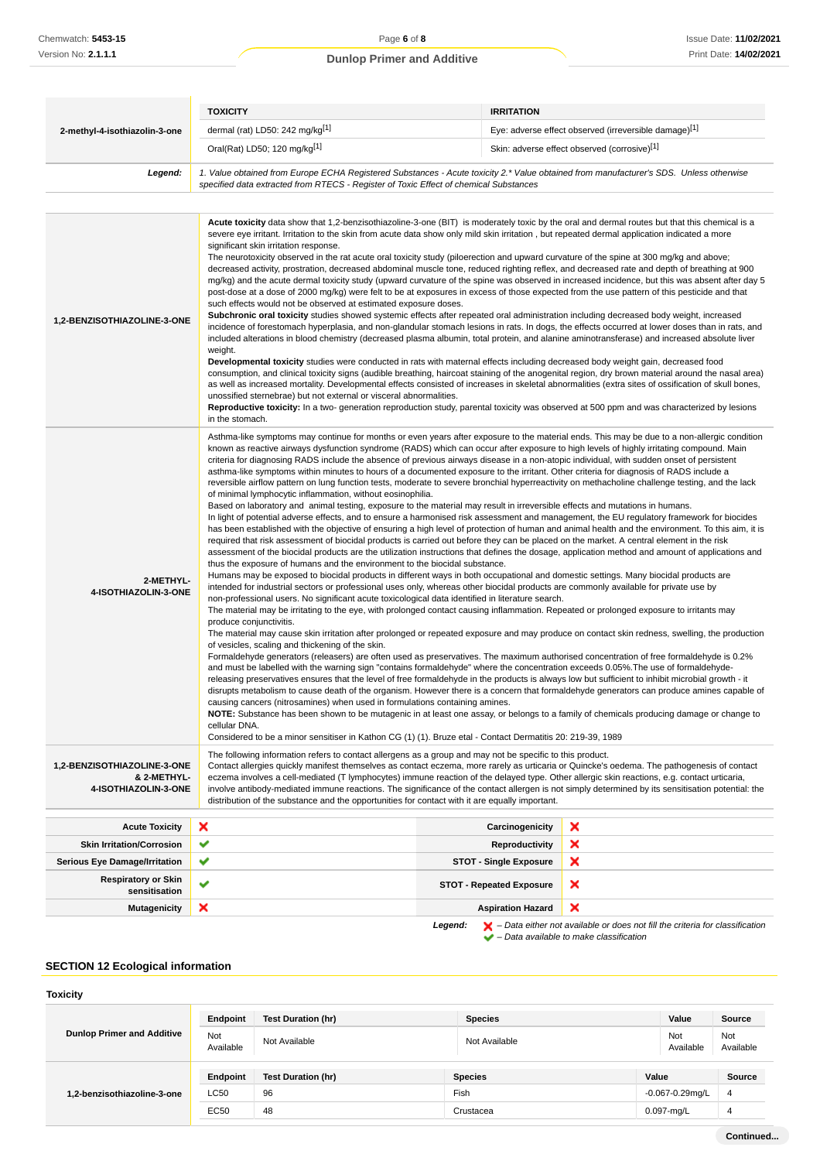|                                                                    | <b>TOXICITY</b>                                                                                                                                                                                                                                                                                                                                                                                                                                                                                                                                                                                                                                                                                                                                                                                                                                                                                                                                                                                                                                                                                                                                                                                                                                                                                                                                                                                                                                                                                                                                                                                                                                                                                                                                                                                                                                                                                                                                                                                                                                                                                                                                                                                                                                                                                                                                                                                                                                                                                                                                                                                                                                                                                                                                                                                                                                                                                                                                                                                                                                                                                                                                                                                                                                                                                                       | <b>IRRITATION</b>               |                                                       |
|--------------------------------------------------------------------|-----------------------------------------------------------------------------------------------------------------------------------------------------------------------------------------------------------------------------------------------------------------------------------------------------------------------------------------------------------------------------------------------------------------------------------------------------------------------------------------------------------------------------------------------------------------------------------------------------------------------------------------------------------------------------------------------------------------------------------------------------------------------------------------------------------------------------------------------------------------------------------------------------------------------------------------------------------------------------------------------------------------------------------------------------------------------------------------------------------------------------------------------------------------------------------------------------------------------------------------------------------------------------------------------------------------------------------------------------------------------------------------------------------------------------------------------------------------------------------------------------------------------------------------------------------------------------------------------------------------------------------------------------------------------------------------------------------------------------------------------------------------------------------------------------------------------------------------------------------------------------------------------------------------------------------------------------------------------------------------------------------------------------------------------------------------------------------------------------------------------------------------------------------------------------------------------------------------------------------------------------------------------------------------------------------------------------------------------------------------------------------------------------------------------------------------------------------------------------------------------------------------------------------------------------------------------------------------------------------------------------------------------------------------------------------------------------------------------------------------------------------------------------------------------------------------------------------------------------------------------------------------------------------------------------------------------------------------------------------------------------------------------------------------------------------------------------------------------------------------------------------------------------------------------------------------------------------------------------------------------------------------------------------------------------------------------|---------------------------------|-------------------------------------------------------|
| 2-methyl-4-isothiazolin-3-one                                      | dermal (rat) LD50: 242 mg/kg[1]                                                                                                                                                                                                                                                                                                                                                                                                                                                                                                                                                                                                                                                                                                                                                                                                                                                                                                                                                                                                                                                                                                                                                                                                                                                                                                                                                                                                                                                                                                                                                                                                                                                                                                                                                                                                                                                                                                                                                                                                                                                                                                                                                                                                                                                                                                                                                                                                                                                                                                                                                                                                                                                                                                                                                                                                                                                                                                                                                                                                                                                                                                                                                                                                                                                                                       |                                 | Eye: adverse effect observed (irreversible damage)[1] |
|                                                                    | Oral(Rat) LD50; 120 mg/kg[1]                                                                                                                                                                                                                                                                                                                                                                                                                                                                                                                                                                                                                                                                                                                                                                                                                                                                                                                                                                                                                                                                                                                                                                                                                                                                                                                                                                                                                                                                                                                                                                                                                                                                                                                                                                                                                                                                                                                                                                                                                                                                                                                                                                                                                                                                                                                                                                                                                                                                                                                                                                                                                                                                                                                                                                                                                                                                                                                                                                                                                                                                                                                                                                                                                                                                                          |                                 | Skin: adverse effect observed (corrosive)[1]          |
| Legend:                                                            | 1. Value obtained from Europe ECHA Registered Substances - Acute toxicity 2.* Value obtained from manufacturer's SDS. Unless otherwise<br>specified data extracted from RTECS - Register of Toxic Effect of chemical Substances                                                                                                                                                                                                                                                                                                                                                                                                                                                                                                                                                                                                                                                                                                                                                                                                                                                                                                                                                                                                                                                                                                                                                                                                                                                                                                                                                                                                                                                                                                                                                                                                                                                                                                                                                                                                                                                                                                                                                                                                                                                                                                                                                                                                                                                                                                                                                                                                                                                                                                                                                                                                                                                                                                                                                                                                                                                                                                                                                                                                                                                                                       |                                 |                                                       |
|                                                                    |                                                                                                                                                                                                                                                                                                                                                                                                                                                                                                                                                                                                                                                                                                                                                                                                                                                                                                                                                                                                                                                                                                                                                                                                                                                                                                                                                                                                                                                                                                                                                                                                                                                                                                                                                                                                                                                                                                                                                                                                                                                                                                                                                                                                                                                                                                                                                                                                                                                                                                                                                                                                                                                                                                                                                                                                                                                                                                                                                                                                                                                                                                                                                                                                                                                                                                                       |                                 |                                                       |
| 1,2-BENZISOTHIAZOLINE-3-ONE                                        | Acute toxicity data show that 1,2-benzisothiazoline-3-one (BIT) is moderately toxic by the oral and dermal routes but that this chemical is a<br>severe eye irritant. Irritation to the skin from acute data show only mild skin irritation, but repeated dermal application indicated a more<br>significant skin irritation response.<br>The neurotoxicity observed in the rat acute oral toxicity study (piloerection and upward curvature of the spine at 300 mg/kg and above;<br>decreased activity, prostration, decreased abdominal muscle tone, reduced righting reflex, and decreased rate and depth of breathing at 900<br>mg/kg) and the acute dermal toxicity study (upward curvature of the spine was observed in increased incidence, but this was absent after day 5<br>post-dose at a dose of 2000 mg/kg) were felt to be at exposures in excess of those expected from the use pattern of this pesticide and that<br>such effects would not be observed at estimated exposure doses.<br>Subchronic oral toxicity studies showed systemic effects after repeated oral administration including decreased body weight, increased<br>incidence of forestomach hyperplasia, and non-glandular stomach lesions in rats. In dogs, the effects occurred at lower doses than in rats, and<br>included alterations in blood chemistry (decreased plasma albumin, total protein, and alanine aminotransferase) and increased absolute liver<br>weight.<br>Developmental toxicity studies were conducted in rats with maternal effects including decreased body weight gain, decreased food<br>consumption, and clinical toxicity signs (audible breathing, haircoat staining of the anogenital region, dry brown material around the nasal area)<br>as well as increased mortality. Developmental effects consisted of increases in skeletal abnormalities (extra sites of ossification of skull bones,<br>unossified sternebrae) but not external or visceral abnormalities.<br>Reproductive toxicity: In a two- generation reproduction study, parental toxicity was observed at 500 ppm and was characterized by lesions<br>in the stomach.                                                                                                                                                                                                                                                                                                                                                                                                                                                                                                                                                                                                                                                                                                                                                                                                                                                                                                                                                                                                                                                                                                                                                                  |                                 |                                                       |
| 2-METHYL-<br>4-ISOTHIAZOLIN-3-ONE                                  | Asthma-like symptoms may continue for months or even years after exposure to the material ends. This may be due to a non-allergic condition<br>known as reactive airways dysfunction syndrome (RADS) which can occur after exposure to high levels of highly irritating compound. Main<br>criteria for diagnosing RADS include the absence of previous airways disease in a non-atopic individual, with sudden onset of persistent<br>asthma-like symptoms within minutes to hours of a documented exposure to the irritant. Other criteria for diagnosis of RADS include a<br>reversible airflow pattern on lung function tests, moderate to severe bronchial hyperreactivity on methacholine challenge testing, and the lack<br>of minimal lymphocytic inflammation, without eosinophilia.<br>Based on laboratory and animal testing, exposure to the material may result in irreversible effects and mutations in humans.<br>In light of potential adverse effects, and to ensure a harmonised risk assessment and management, the EU regulatory framework for biocides<br>has been established with the objective of ensuring a high level of protection of human and animal health and the environment. To this aim, it is<br>required that risk assessment of biocidal products is carried out before they can be placed on the market. A central element in the risk<br>assessment of the biocidal products are the utilization instructions that defines the dosage, application method and amount of applications and<br>thus the exposure of humans and the environment to the biocidal substance.<br>Humans may be exposed to biocidal products in different ways in both occupational and domestic settings. Many biocidal products are<br>intended for industrial sectors or professional uses only, whereas other biocidal products are commonly available for private use by<br>non-professional users. No significant acute toxicological data identified in literature search.<br>The material may be irritating to the eye, with prolonged contact causing inflammation. Repeated or prolonged exposure to irritants may<br>produce conjunctivitis.<br>The material may cause skin irritation after prolonged or repeated exposure and may produce on contact skin redness, swelling, the production<br>of vesicles, scaling and thickening of the skin.<br>Formaldehyde generators (releasers) are often used as preservatives. The maximum authorised concentration of free formaldehyde is 0.2%<br>and must be labelled with the warning sign "contains formaldehyde" where the concentration exceeds 0.05%. The use of formaldehyde-<br>releasing preservatives ensures that the level of free formaldehyde in the products is always low but sufficient to inhibit microbial growth - it<br>disrupts metabolism to cause death of the organism. However there is a concern that formaldehyde generators can produce amines capable of<br>causing cancers (nitrosamines) when used in formulations containing amines.<br>NOTE: Substance has been shown to be mutagenic in at least one assay, or belongs to a family of chemicals producing damage or change to<br>cellular DNA.<br>Considered to be a minor sensitiser in Kathon CG (1) (1). Bruze etal - Contact Dermatitis 20: 219-39, 1989 |                                 |                                                       |
| 1,2-BENZISOTHIAZOLINE-3-ONE<br>& 2-METHYL-<br>4-ISOTHIAZOLIN-3-ONE | The following information refers to contact allergens as a group and may not be specific to this product.<br>Contact allergies quickly manifest themselves as contact eczema, more rarely as urticaria or Quincke's oedema. The pathogenesis of contact<br>eczema involves a cell-mediated (T lymphocytes) immune reaction of the delayed type. Other allergic skin reactions, e.g. contact urticaria,<br>involve antibody-mediated immune reactions. The significance of the contact allergen is not simply determined by its sensitisation potential: the                                                                                                                                                                                                                                                                                                                                                                                                                                                                                                                                                                                                                                                                                                                                                                                                                                                                                                                                                                                                                                                                                                                                                                                                                                                                                                                                                                                                                                                                                                                                                                                                                                                                                                                                                                                                                                                                                                                                                                                                                                                                                                                                                                                                                                                                                                                                                                                                                                                                                                                                                                                                                                                                                                                                                           |                                 |                                                       |
|                                                                    | distribution of the substance and the opportunities for contact with it are equally important.                                                                                                                                                                                                                                                                                                                                                                                                                                                                                                                                                                                                                                                                                                                                                                                                                                                                                                                                                                                                                                                                                                                                                                                                                                                                                                                                                                                                                                                                                                                                                                                                                                                                                                                                                                                                                                                                                                                                                                                                                                                                                                                                                                                                                                                                                                                                                                                                                                                                                                                                                                                                                                                                                                                                                                                                                                                                                                                                                                                                                                                                                                                                                                                                                        |                                 |                                                       |
| <b>Acute Toxicity</b>                                              | ×                                                                                                                                                                                                                                                                                                                                                                                                                                                                                                                                                                                                                                                                                                                                                                                                                                                                                                                                                                                                                                                                                                                                                                                                                                                                                                                                                                                                                                                                                                                                                                                                                                                                                                                                                                                                                                                                                                                                                                                                                                                                                                                                                                                                                                                                                                                                                                                                                                                                                                                                                                                                                                                                                                                                                                                                                                                                                                                                                                                                                                                                                                                                                                                                                                                                                                                     | Carcinogenicity                 | ×                                                     |
| <b>Skin Irritation/Corrosion</b>                                   | ✔                                                                                                                                                                                                                                                                                                                                                                                                                                                                                                                                                                                                                                                                                                                                                                                                                                                                                                                                                                                                                                                                                                                                                                                                                                                                                                                                                                                                                                                                                                                                                                                                                                                                                                                                                                                                                                                                                                                                                                                                                                                                                                                                                                                                                                                                                                                                                                                                                                                                                                                                                                                                                                                                                                                                                                                                                                                                                                                                                                                                                                                                                                                                                                                                                                                                                                                     | Reproductivity                  | ×                                                     |
| <b>Serious Eye Damage/Irritation</b>                               | ✔                                                                                                                                                                                                                                                                                                                                                                                                                                                                                                                                                                                                                                                                                                                                                                                                                                                                                                                                                                                                                                                                                                                                                                                                                                                                                                                                                                                                                                                                                                                                                                                                                                                                                                                                                                                                                                                                                                                                                                                                                                                                                                                                                                                                                                                                                                                                                                                                                                                                                                                                                                                                                                                                                                                                                                                                                                                                                                                                                                                                                                                                                                                                                                                                                                                                                                                     | <b>STOT - Single Exposure</b>   | ×                                                     |
| <b>Respiratory or Skin</b><br>sensitisation                        | ✔                                                                                                                                                                                                                                                                                                                                                                                                                                                                                                                                                                                                                                                                                                                                                                                                                                                                                                                                                                                                                                                                                                                                                                                                                                                                                                                                                                                                                                                                                                                                                                                                                                                                                                                                                                                                                                                                                                                                                                                                                                                                                                                                                                                                                                                                                                                                                                                                                                                                                                                                                                                                                                                                                                                                                                                                                                                                                                                                                                                                                                                                                                                                                                                                                                                                                                                     | <b>STOT - Repeated Exposure</b> | ×                                                     |
| <b>Mutagenicity</b>                                                | ×                                                                                                                                                                                                                                                                                                                                                                                                                                                                                                                                                                                                                                                                                                                                                                                                                                                                                                                                                                                                                                                                                                                                                                                                                                                                                                                                                                                                                                                                                                                                                                                                                                                                                                                                                                                                                                                                                                                                                                                                                                                                                                                                                                                                                                                                                                                                                                                                                                                                                                                                                                                                                                                                                                                                                                                                                                                                                                                                                                                                                                                                                                                                                                                                                                                                                                                     | <b>Aspiration Hazard</b>        | ×                                                     |

**Legend:**  $\mathbf{X}$  – Data either not available or does not fill the criteria for classification

– Data available to make classification

# **SECTION 12 Ecological information**

#### **Toxicity**

|                                   | Endpoint         | <b>Test Duration (hr)</b> | <b>Species</b> | Value                | Source           |
|-----------------------------------|------------------|---------------------------|----------------|----------------------|------------------|
| <b>Dunlop Primer and Additive</b> | Not<br>Available | Not Available             | Not Available  | Not<br>Available     | Not<br>Available |
|                                   | Endpoint         | <b>Test Duration (hr)</b> | <b>Species</b> | Value                | <b>Source</b>    |
| 1,2-benzisothiazoline-3-one       | LC50             | 96                        | Fish           | $-0.067 - 0.29$ mg/L | -4               |
|                                   | <b>EC50</b>      | 48                        | Crustacea      | $0.097$ -mg/L        | 4                |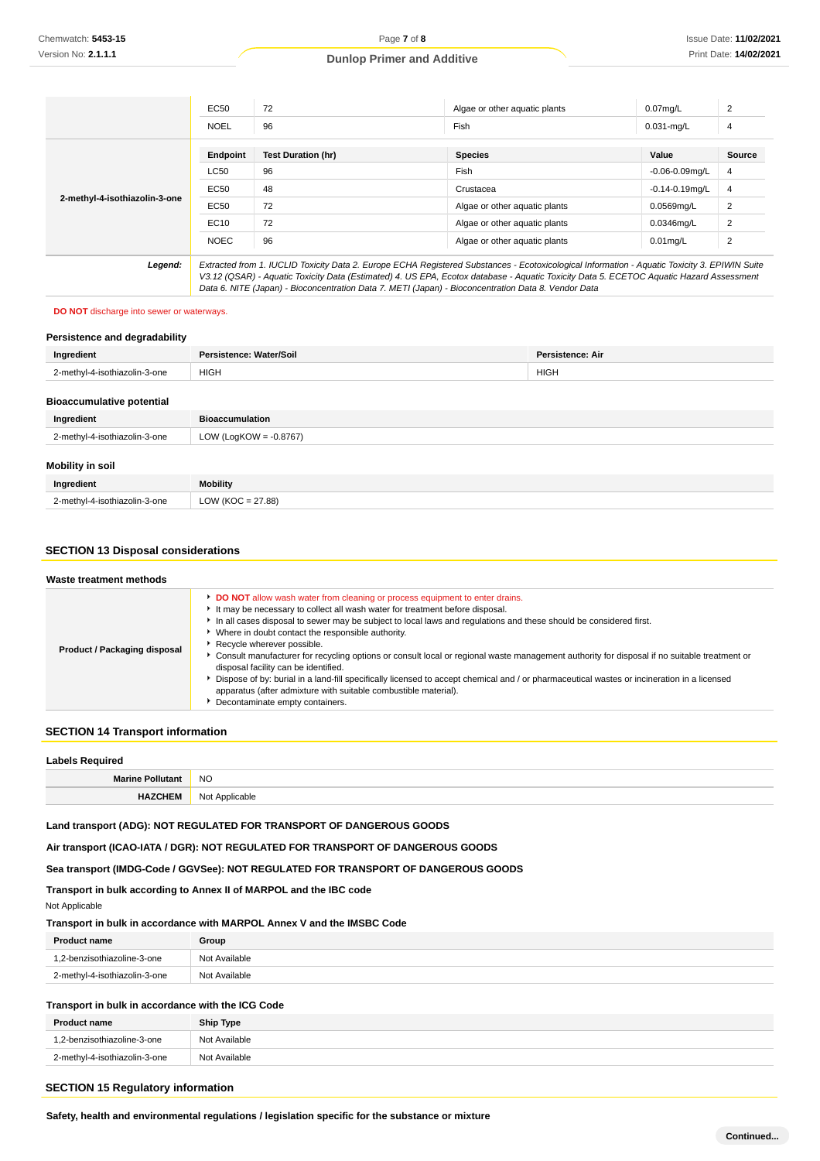|                               | <b>EC50</b> | 72                                                                                                                                                                                                                                                                                                                                                                                  | Algae or other aquatic plants | $0.07$ mg/L         | 2              |
|-------------------------------|-------------|-------------------------------------------------------------------------------------------------------------------------------------------------------------------------------------------------------------------------------------------------------------------------------------------------------------------------------------------------------------------------------------|-------------------------------|---------------------|----------------|
|                               | <b>NOEL</b> | 96                                                                                                                                                                                                                                                                                                                                                                                  | Fish                          | $0.031$ -mg/L       | 4              |
|                               | Endpoint    | <b>Test Duration (hr)</b>                                                                                                                                                                                                                                                                                                                                                           | <b>Species</b>                | Value               | <b>Source</b>  |
|                               | <b>LC50</b> | 96                                                                                                                                                                                                                                                                                                                                                                                  | Fish                          | $-0.06 - 0.09$ mg/L | 4              |
| 2-methyl-4-isothiazolin-3-one | EC50        | 48                                                                                                                                                                                                                                                                                                                                                                                  | Crustacea                     | $-0.14 - 0.19$ mg/L | $\overline{4}$ |
|                               | EC50        | 72                                                                                                                                                                                                                                                                                                                                                                                  | Algae or other aguatic plants | 0.0569mg/L          | 2              |
|                               | EC10        | 72                                                                                                                                                                                                                                                                                                                                                                                  | Algae or other aguatic plants | $0.0346$ mg/L       | $\overline{2}$ |
|                               | <b>NOEC</b> | 96                                                                                                                                                                                                                                                                                                                                                                                  | Algae or other aguatic plants | $0.01$ mg/L         | $\overline{2}$ |
| Legend:                       |             | Extracted from 1. IUCLID Toxicity Data 2. Europe ECHA Registered Substances - Ecotoxicological Information - Aquatic Toxicity 3. EPIWIN Suite<br>$\mathcal{L}$ , and a set of the set of the set of the set of the set of the set of the set of the set of the set of the set of the set of the set of the set of the set of the set of the set of the set of the set of the set of |                               |                     |                |

V3.12 (QSAR) - Aquatic Toxicity Data (Estimated) 4. US EPA, Ecotox database - Aquatic Toxicity Data 5. ECETOC Aquatic Hazard Assessment Data 6. NITE (Japan) - Bioconcentration Data 7. METI (Japan) - Bioconcentration Data 8. Vendor Data

#### **DO NOT** discharge into sewer or waterways.

| Persistence and degradability    |                           |                         |
|----------------------------------|---------------------------|-------------------------|
| Ingredient                       | Persistence: Water/Soil   | <b>Persistence: Air</b> |
| 2-methyl-4-isothiazolin-3-one    | <b>HIGH</b>               | <b>HIGH</b>             |
| <b>Bioaccumulative potential</b> |                           |                         |
| Ingredient                       | <b>Bioaccumulation</b>    |                         |
| 2-methyl-4-isothiazolin-3-one    | LOW (LogKOW = $-0.8767$ ) |                         |
| Mobility in soil                 |                           |                         |
| Ingredient                       | <b>Mobility</b>           |                         |
| 2-methyl-4-isothiazolin-3-one    | LOW ( $KOC = 27.88$ )     |                         |

## **SECTION 13 Disposal considerations**

| Waste treatment methods      |                                                                                                                                                                                                                                                                                                                                                                                                                                                                                                                                                                                                                                                                                                                                                                                                                  |
|------------------------------|------------------------------------------------------------------------------------------------------------------------------------------------------------------------------------------------------------------------------------------------------------------------------------------------------------------------------------------------------------------------------------------------------------------------------------------------------------------------------------------------------------------------------------------------------------------------------------------------------------------------------------------------------------------------------------------------------------------------------------------------------------------------------------------------------------------|
| Product / Packaging disposal | DO NOT allow wash water from cleaning or process equipment to enter drains.<br>It may be necessary to collect all wash water for treatment before disposal.<br>In all cases disposal to sewer may be subject to local laws and regulations and these should be considered first.<br>• Where in doubt contact the responsible authority.<br>Recycle wherever possible.<br>Consult manufacturer for recycling options or consult local or regional waste management authority for disposal if no suitable treatment or<br>disposal facility can be identified.<br>Dispose of by: burial in a land-fill specifically licensed to accept chemical and / or pharmaceutical wastes or incineration in a licensed<br>apparatus (after admixture with suitable combustible material).<br>Decontaminate empty containers. |

## **SECTION 14 Transport information**

| <b>Labels Required</b>  |                |
|-------------------------|----------------|
| <b>Marine Pollutant</b> | <b>NO</b>      |
| <b>HAZCHEM</b>          | Not Applicable |

## **Land transport (ADG): NOT REGULATED FOR TRANSPORT OF DANGEROUS GOODS**

**Air transport (ICAO-IATA / DGR): NOT REGULATED FOR TRANSPORT OF DANGEROUS GOODS**

**Sea transport (IMDG-Code / GGVSee): NOT REGULATED FOR TRANSPORT OF DANGEROUS GOODS**

**Transport in bulk according to Annex II of MARPOL and the IBC code** Not Applicable

#### **Transport in bulk in accordance with MARPOL Annex V and the IMSBC Code**

| <b>Product name</b>           | Group         |
|-------------------------------|---------------|
| 1.2-benzisothiazoline-3-one   | Not Available |
| 2-methyl-4-isothiazolin-3-one | Not Available |

#### **Transport in bulk in accordance with the ICG Code**

| <b>Product name</b>           | Ship Type     |
|-------------------------------|---------------|
| 1,2-benzisothiazoline-3-one   | Not Available |
| 2-methyl-4-isothiazolin-3-one | Not Available |

#### **SECTION 15 Regulatory information**